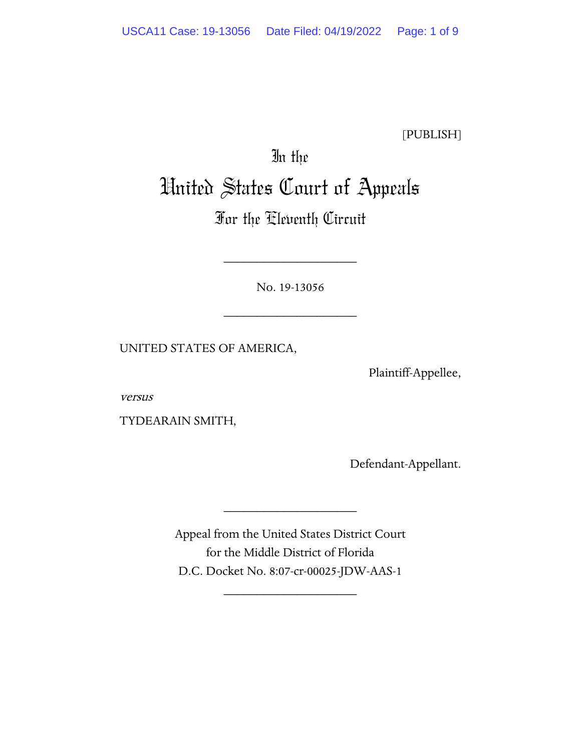[PUBLISH]

# In the United States Court of Appeals

# For the Eleventh Circuit

No. 19-13056

\_\_\_\_\_\_\_\_\_\_\_\_\_\_\_\_\_\_\_\_

\_\_\_\_\_\_\_\_\_\_\_\_\_\_\_\_\_\_\_\_

UNITED STATES OF AMERICA,

Plaintiff-Appellee,

versus

TYDEARAIN SMITH,

Defendant-Appellant.

Appeal from the United States District Court for the Middle District of Florida D.C. Docket No. 8:07-cr-00025-JDW-AAS-1

\_\_\_\_\_\_\_\_\_\_\_\_\_\_\_\_\_\_\_\_

\_\_\_\_\_\_\_\_\_\_\_\_\_\_\_\_\_\_\_\_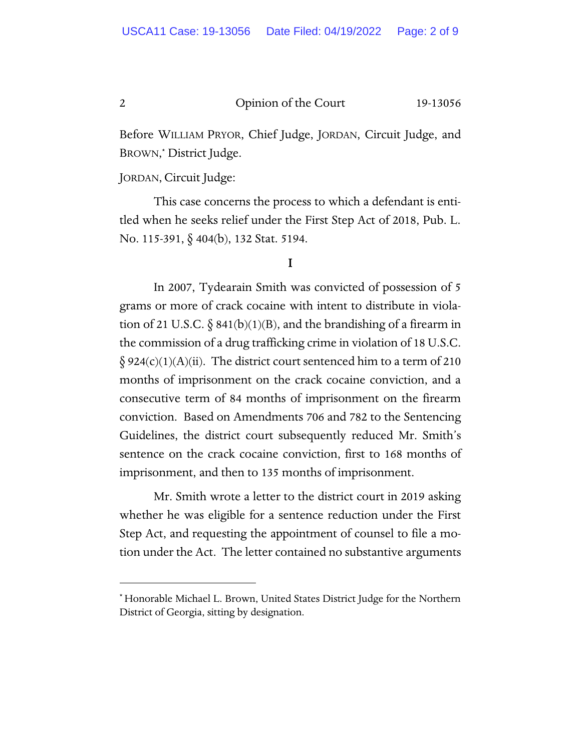Before WILLIAM PRYOR, Chief Judge, JORDAN, Circuit Judge, and BROWN, \* District Judge.

JORDAN, Circuit Judge:

This case concerns the process to which a defendant is entitled when he seeks relief under the First Step Act of 2018, Pub. L. No. 115-391, § 404(b), 132 Stat. 5194.

#### I

In 2007, Tydearain Smith was convicted of possession of 5 grams or more of crack cocaine with intent to distribute in violation of 21 U.S.C.  $\S$  841(b)(1)(B), and the brandishing of a firearm in the commission of a drug trafficking crime in violation of 18 U.S.C.  $\S 924(c)(1)(A)(ii)$ . The district court sentenced him to a term of 210 months of imprisonment on the crack cocaine conviction, and a consecutive term of 84 months of imprisonment on the firearm conviction. Based on Amendments 706 and 782 to the Sentencing Guidelines, the district court subsequently reduced Mr. Smith's sentence on the crack cocaine conviction, first to 168 months of imprisonment, and then to 135 months of imprisonment.

 Mr. Smith wrote a letter to the district court in 2019 asking whether he was eligible for a sentence reduction under the First Step Act, and requesting the appointment of counsel to file a motion under the Act. The letter contained no substantive arguments

<sup>\*</sup> Honorable Michael L. Brown, United States District Judge for the Northern District of Georgia, sitting by designation.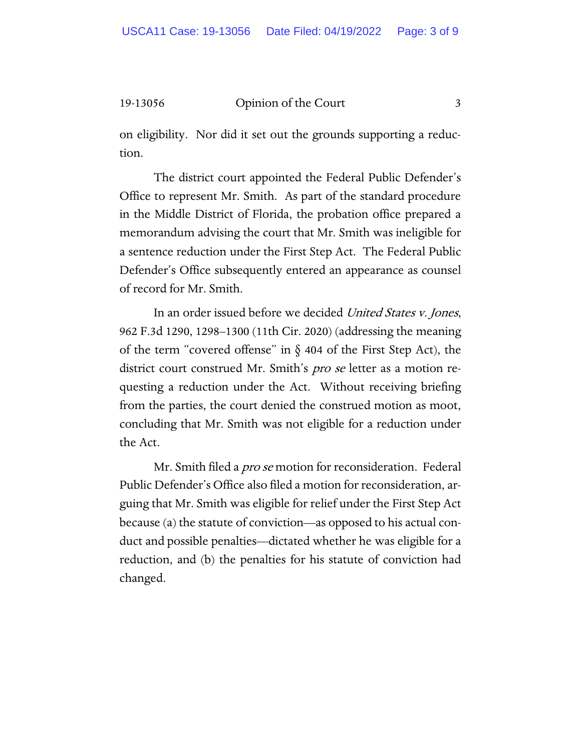on eligibility. Nor did it set out the grounds supporting a reduction.

 The district court appointed the Federal Public Defender's Office to represent Mr. Smith. As part of the standard procedure in the Middle District of Florida, the probation office prepared a memorandum advising the court that Mr. Smith was ineligible for a sentence reduction under the First Step Act. The Federal Public Defender's Office subsequently entered an appearance as counsel of record for Mr. Smith.

In an order issued before we decided United States v. Jones, 962 F.3d 1290, 1298–1300 (11th Cir. 2020) (addressing the meaning of the term "covered offense" in  $\S$  404 of the First Step Act), the district court construed Mr. Smith's *pro se* letter as a motion requesting a reduction under the Act. Without receiving briefing from the parties, the court denied the construed motion as moot, concluding that Mr. Smith was not eligible for a reduction under the Act.

Mr. Smith filed a *pro se* motion for reconsideration. Federal Public Defender's Office also filed a motion for reconsideration, arguing that Mr. Smith was eligible for relief under the First Step Act because (a) the statute of conviction—as opposed to his actual conduct and possible penalties—dictated whether he was eligible for a reduction, and (b) the penalties for his statute of conviction had changed.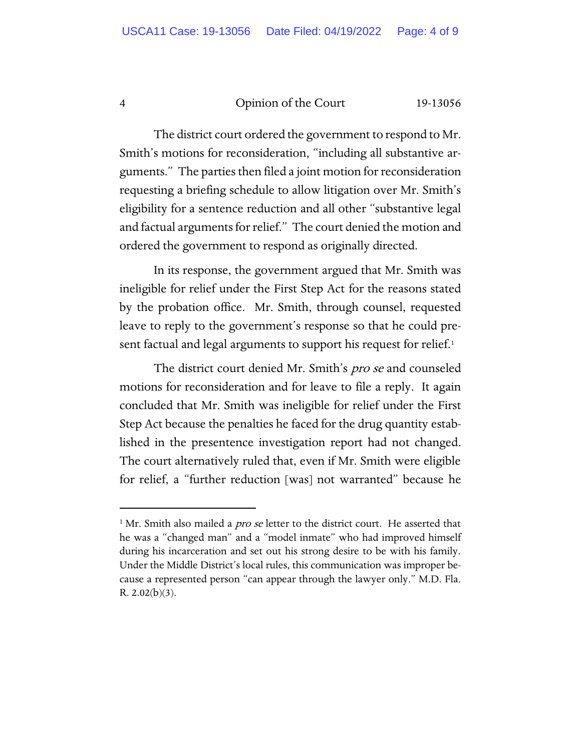The district court ordered the government to respond to Mr. Smith's motions for reconsideration, "including all substantive arguments." The parties then filed a joint motion for reconsideration requesting a briefing schedule to allow litigation over Mr. Smith's eligibility for a sentence reduction and all other "substantive legal and factual arguments for relief." The court denied the motion and ordered the government to respond as originally directed.

In its response, the government argued that Mr. Smith was ineligible for relief under the First Step Act for the reasons stated by the probation office. Mr. Smith, through counsel, requested leave to reply to the government's response so that he could present factual and legal arguments to support his request for relief.<sup>1</sup>

The district court denied Mr. Smith's *pro se* and counseled motions for reconsideration and for leave to file a reply. It again concluded that Mr. Smith was ineligible for relief under the First Step Act because the penalties he faced for the drug quantity established in the presentence investigation report had not changed. The court alternatively ruled that, even if Mr. Smith were eligible for relief, a "further reduction [was] not warranted" because he

<sup>&</sup>lt;sup>1</sup> Mr. Smith also mailed a *pro se* letter to the district court. He asserted that he was a "changed man" and a "model inmate" who had improved himself during his incarceration and set out his strong desire to be with his family. Under the Middle District's local rules, this communication was improper because a represented person "can appear through the lawyer only." M.D. Fla. R.  $2.02(b)(3)$ .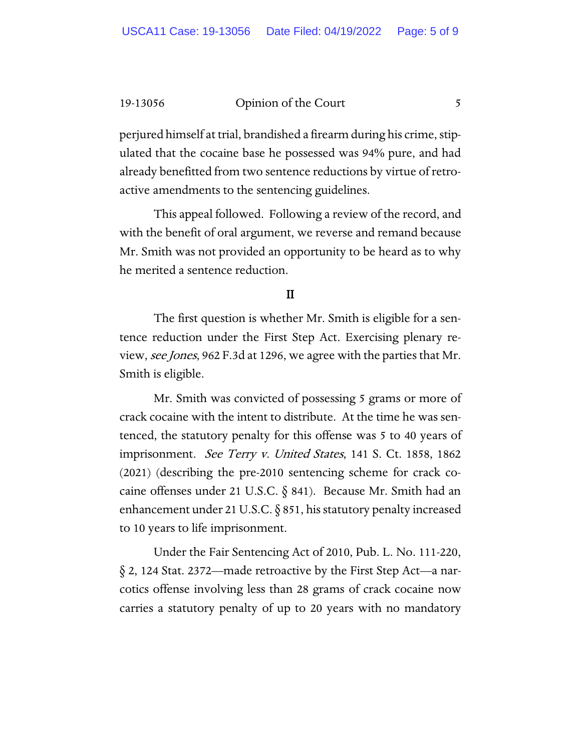perjured himself at trial, brandished a firearm during his crime, stipulated that the cocaine base he possessed was 94% pure, and had already benefitted from two sentence reductions by virtue of retroactive amendments to the sentencing guidelines.

This appeal followed. Following a review of the record, and with the benefit of oral argument, we reverse and remand because Mr. Smith was not provided an opportunity to be heard as to why he merited a sentence reduction.

## II

The first question is whether Mr. Smith is eligible for a sentence reduction under the First Step Act. Exercising plenary review, *see Jones*, 962 F.3d at 1296, we agree with the parties that Mr. Smith is eligible.

Mr. Smith was convicted of possessing 5 grams or more of crack cocaine with the intent to distribute. At the time he was sentenced, the statutory penalty for this offense was 5 to 40 years of imprisonment. See Terry v. United States, 141 S. Ct. 1858, 1862 (2021) (describing the pre-2010 sentencing scheme for crack cocaine offenses under 21 U.S.C.  $\S$  841). Because Mr. Smith had an enhancement under 21 U.S.C. § 851, his statutory penalty increased to 10 years to life imprisonment.

Under the Fair Sentencing Act of 2010, Pub. L. No. 111-220, § 2, 124 Stat. 2372—made retroactive by the First Step Act—a narcotics offense involving less than 28 grams of crack cocaine now carries a statutory penalty of up to 20 years with no mandatory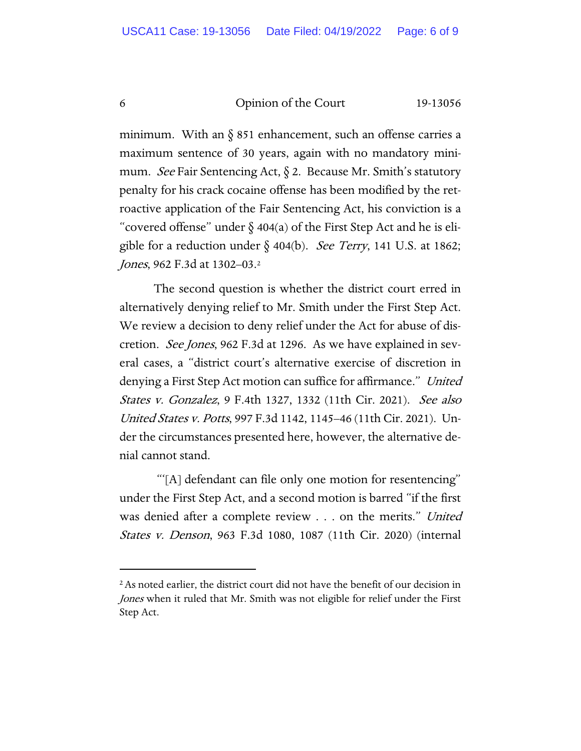minimum. With an  $\S$  851 enhancement, such an offense carries a maximum sentence of 30 years, again with no mandatory minimum. See Fair Sentencing Act,  $\S$  2. Because Mr. Smith's statutory penalty for his crack cocaine offense has been modified by the retroactive application of the Fair Sentencing Act, his conviction is a "covered offense" under  $\S$  404(a) of the First Step Act and he is eligible for a reduction under  $\S$  404(b). See Terry, 141 U.S. at 1862; Jones, 962 F.3d at 1302-03.<sup>2</sup>

The second question is whether the district court erred in alternatively denying relief to Mr. Smith under the First Step Act. We review a decision to deny relief under the Act for abuse of discretion. See Jones, 962 F.3d at 1296. As we have explained in several cases, a "district court's alternative exercise of discretion in denying a First Step Act motion can suffice for affirmance." United States v. Gonzalez, 9 F.4th 1327, 1332 (11th Cir. 2021). See also United States v. Potts, 997 F.3d 1142, 1145–46 (11th Cir. 2021). Under the circumstances presented here, however, the alternative denial cannot stand.

"'[A] defendant can file only one motion for resentencing" under the First Step Act, and a second motion is barred "if the first was denied after a complete review . . . on the merits." United States v. Denson, 963 F.3d 1080, 1087 (11th Cir. 2020) (internal

<sup>&</sup>lt;sup>2</sup> As noted earlier, the district court did not have the benefit of our decision in Jones when it ruled that Mr. Smith was not eligible for relief under the First Step Act.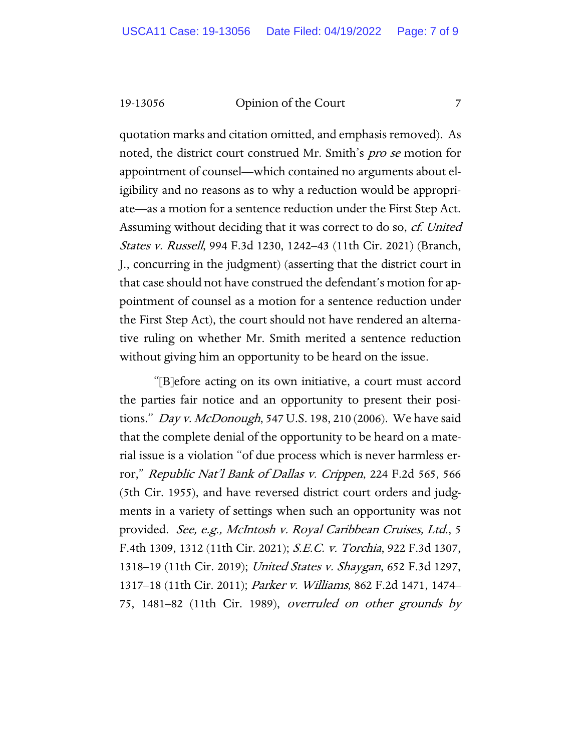quotation marks and citation omitted, and emphasis removed). As noted, the district court construed Mr. Smith's pro se motion for appointment of counsel—which contained no arguments about eligibility and no reasons as to why a reduction would be appropriate—as a motion for a sentence reduction under the First Step Act. Assuming without deciding that it was correct to do so, cf. United States v. Russell, 994 F.3d 1230, 1242–43 (11th Cir. 2021) (Branch, J., concurring in the judgment) (asserting that the district court in that case should not have construed the defendant's motion for appointment of counsel as a motion for a sentence reduction under the First Step Act), the court should not have rendered an alternative ruling on whether Mr. Smith merited a sentence reduction without giving him an opportunity to be heard on the issue.

"[B]efore acting on its own initiative, a court must accord the parties fair notice and an opportunity to present their positions." *Day v. McDonough*, 547 U.S. 198, 210 (2006). We have said that the complete denial of the opportunity to be heard on a material issue is a violation "of due process which is never harmless error," Republic Nat'l Bank of Dallas v. Crippen, 224 F.2d 565, 566 (5th Cir. 1955), and have reversed district court orders and judgments in a variety of settings when such an opportunity was not provided. See, e.g., McIntosh v. Royal Caribbean Cruises, Ltd., 5 F.4th 1309, 1312 (11th Cir. 2021); S.E.C. v. Torchia, 922 F.3d 1307, 1318–19 (11th Cir. 2019); United States v. Shaygan, 652 F.3d 1297, 1317–18 (11th Cir. 2011); Parker v. Williams, 862 F.2d 1471, 1474– 75, 1481–82 (11th Cir. 1989), overruled on other grounds by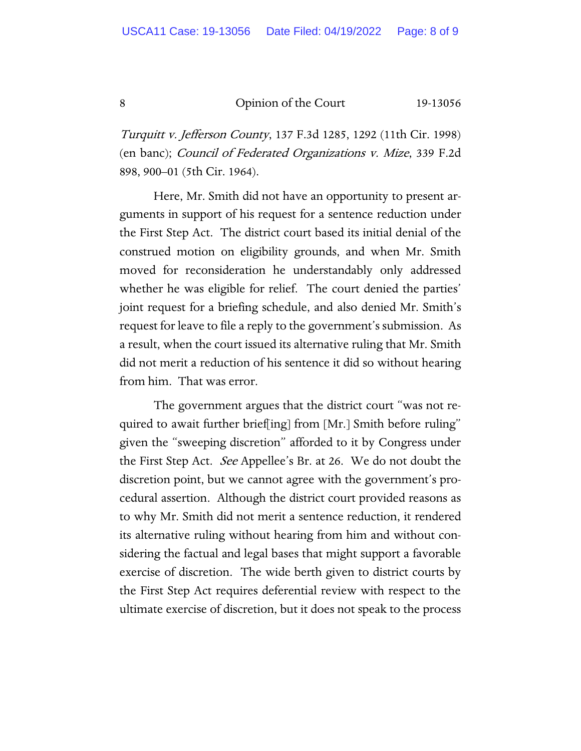Turquitt v. Jefferson County, 137 F.3d 1285, 1292 (11th Cir. 1998) (en banc); Council of Federated Organizations v. Mize, 339 F.2d 898, 900–01 (5th Cir. 1964).

Here, Mr. Smith did not have an opportunity to present arguments in support of his request for a sentence reduction under the First Step Act. The district court based its initial denial of the construed motion on eligibility grounds, and when Mr. Smith moved for reconsideration he understandably only addressed whether he was eligible for relief. The court denied the parties' joint request for a briefing schedule, and also denied Mr. Smith's request for leave to file a reply to the government's submission. As a result, when the court issued its alternative ruling that Mr. Smith did not merit a reduction of his sentence it did so without hearing from him. That was error.

The government argues that the district court "was not required to await further brief[ing] from [Mr.] Smith before ruling" given the "sweeping discretion" afforded to it by Congress under the First Step Act. See Appellee's Br. at 26. We do not doubt the discretion point, but we cannot agree with the government's procedural assertion. Although the district court provided reasons as to why Mr. Smith did not merit a sentence reduction, it rendered its alternative ruling without hearing from him and without considering the factual and legal bases that might support a favorable exercise of discretion. The wide berth given to district courts by the First Step Act requires deferential review with respect to the ultimate exercise of discretion, but it does not speak to the process